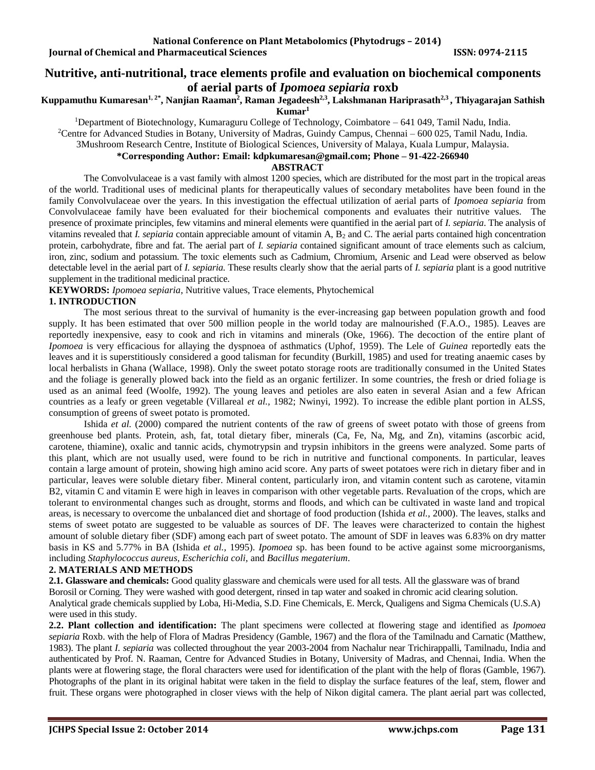# **Nutritive, anti-nutritional, trace elements profile and evaluation on biochemical components of aerial parts of** *Ipomoea sepiaria* **roxb**

# **Kuppamuthu Kumaresan1, 2\*, Nanjian Raaman<sup>2</sup> , Raman Jegadeesh2,3, Lakshmanan Hariprasath2,3 , Thiyagarajan Sathish**

**Kumar<sup>1</sup>**

<sup>1</sup>Department of Biotechnology, Kumaraguru College of Technology, Coimbatore - 641 049, Tamil Nadu, India.

<sup>2</sup>Centre for Advanced Studies in Botany, University of Madras, Guindy Campus, Chennai – 600 025, Tamil Nadu, India.

3Mushroom Research Centre, Institute of Biological Sciences, University of Malaya, Kuala Lumpur, Malaysia.

# **\*Corresponding Author: Email: [kdpkumaresan@gmail.com;](mailto:kdpkumaresan@gmail.com) Phone – 91-422-266940**

#### **ABSTRACT**

The Convolvulaceae is a vast family with almost 1200 species, which are distributed for the most part in the tropical areas of the world. Traditional uses of medicinal plants for therapeutically values of secondary metabolites have been found in the family Convolvulaceae over the years. In this investigation the effectual utilization of aerial parts of *Ipomoea sepiaria* from Convolvulaceae family have been evaluated for their biochemical components and evaluates their nutritive values. The presence of proximate principles, few vitamins and mineral elements were quantified in the aerial part of *I. sepiaria*. The analysis of vitamins revealed that *I. sepiaria* contain appreciable amount of vitamin A, B<sup>2</sup> and C. The aerial parts contained high concentration protein, carbohydrate, fibre and fat. The aerial part of *I. sepiaria* contained significant amount of trace elements such as calcium, iron, zinc, sodium and potassium. The toxic elements such as Cadmium, Chromium, Arsenic and Lead were observed as below detectable level in the aerial part of *I. sepiaria.* These results clearly show that the aerial parts of *I. sepiaria* plant is a good nutritive supplement in the traditional medicinal practice.

**KEYWORDS:** *Ipomoea sepiaria*, Nutritive values, Trace elements, Phytochemical

# **1. INTRODUCTION**

The most serious threat to the survival of humanity is the ever-increasing gap between population growth and food supply. It has been estimated that over 500 million people in the world today are malnourished (F.A.O., 1985). Leaves are reportedly inexpensive, easy to cook and rich in vitamins and minerals (Oke, 1966). The decoction of the entire plant of *Ipomoea* is very efficacious for allaying the dyspnoea of asthmatics (Uphof, 1959). The Lele of *Guinea* reportedly eats the leaves and it is superstitiously considered a good talisman for fecundity (Burkill, 1985) and used for treating anaemic cases by local herbalists in Ghana (Wallace, 1998). Only the sweet potato storage roots are traditionally consumed in the United States and the foliage is generally plowed back into the field as an organic fertilizer. In some countries, the fresh or dried foliage is used as an animal feed (Woolfe, 1992). The young leaves and petioles are also eaten in several Asian and a few African countries as a leafy or green vegetable (Villareal *et al.,* 1982; Nwinyi, 1992). To increase the edible plant portion in ALSS, consumption of greens of sweet potato is promoted.

Ishida *et al.* (2000) compared the nutrient contents of the raw of greens of sweet potato with those of greens from greenhouse bed plants. Protein, ash, fat, total dietary fiber, minerals (Ca, Fe, Na, Mg, and Zn), vitamins (ascorbic acid, carotene, thiamine), oxalic and tannic acids, chymotrypsin and trypsin inhibitors in the greens were analyzed. Some parts of this plant, which are not usually used, were found to be rich in nutritive and functional components. In particular, leaves contain a large amount of protein, showing high amino acid score. Any parts of sweet potatoes were rich in dietary fiber and in particular, leaves were soluble dietary fiber. Mineral content, particularly iron, and vitamin content such as carotene, vitamin B2, vitamin C and vitamin E were high in leaves in comparison with other vegetable parts. Revaluation of the crops, which are tolerant to environmental changes such as drought, storms and floods, and which can be cultivated in waste land and tropical areas, is necessary to overcome the unbalanced diet and shortage of food production (Ishida *et al.,* 2000). The leaves, stalks and stems of sweet potato are suggested to be valuable as sources of DF. The leaves were characterized to contain the highest amount of soluble dietary fiber (SDF) among each part of sweet potato. The amount of SDF in leaves was 6.83% on dry matter basis in KS and 5.77% in BA (Ishida *et al.,* 1995). *Ipomoea* sp. has been found to be active against some microorganisms, including *Staphylococcus aureus, Escherichia coli,* and *Bacillus megaterium*.

# **2. MATERIALS AND METHODS**

**2.1. Glassware and chemicals:** Good quality glassware and chemicals were used for all tests. All the glassware was of brand Borosil or Corning. They were washed with good detergent, rinsed in tap water and soaked in chromic acid clearing solution. Analytical grade chemicals supplied by Loba, Hi-Media, S.D. Fine Chemicals, E. Merck, Qualigens and Sigma Chemicals (U.S.A) were used in this study.

**2.2. Plant collection and identification:** The plant specimens were collected at flowering stage and identified as *Ipomoea sepiaria* Roxb. with the help of Flora of Madras Presidency (Gamble, 1967) and the flora of the Tamilnadu and Carnatic (Matthew, 1983). The plant *I. sepiaria* was collected throughout the year 2003-2004 from Nachalur near Trichirappalli, Tamilnadu, India and authenticated by Prof. N. Raaman, Centre for Advanced Studies in Botany, University of Madras, and Chennai, India. When the plants were at flowering stage, the floral characters were used for identification of the plant with the help of floras (Gamble, 1967). Photographs of the plant in its original habitat were taken in the field to display the surface features of the leaf, stem, flower and fruit. These organs were photographed in closer views with the help of Nikon digital camera. The plant aerial part was collected,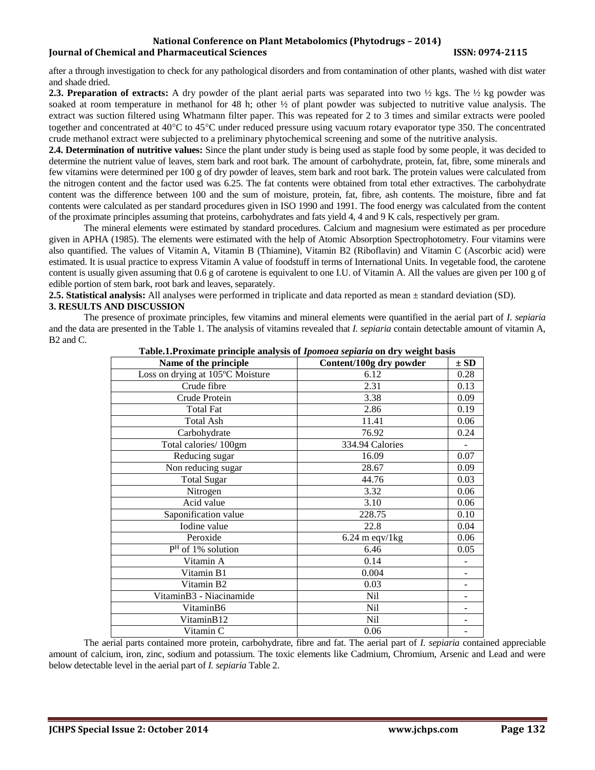# **National Conference on Plant Metabolomics (Phytodrugs – 2014) Iournal of Chemical and Pharmaceutical Sciences ISSN: 0974-2115**

after a through investigation to check for any pathological disorders and from contamination of other plants, washed with dist water and shade dried.

**2.3. Preparation of extracts:** A dry powder of the plant aerial parts was separated into two ½ kgs. The ½ kg powder was soaked at room temperature in methanol for 48 h; other  $\frac{1}{2}$  of plant powder was subjected to nutritive value analysis. The extract was suction filtered using Whatmann filter paper. This was repeated for 2 to 3 times and similar extracts were pooled together and concentrated at  $40^{\circ}$ C to  $45^{\circ}$ C under reduced pressure using vacuum rotary evaporator type 350. The concentrated crude methanol extract were subjected to a preliminary phytochemical screening and some of the nutritive analysis.

**2.4. Determination of nutritive values:** Since the plant under study is being used as staple food by some people, it was decided to determine the nutrient value of leaves, stem bark and root bark. The amount of carbohydrate, protein, fat, fibre, some minerals and few vitamins were determined per 100 g of dry powder of leaves, stem bark and root bark. The protein values were calculated from the nitrogen content and the factor used was 6.25. The fat contents were obtained from total ether extractives. The carbohydrate content was the difference between 100 and the sum of moisture, protein, fat, fibre, ash contents. The moisture, fibre and fat contents were calculated as per standard procedures given in ISO 1990 and 1991. The food energy was calculated from the content of the proximate principles assuming that proteins, carbohydrates and fats yield 4, 4 and 9 K cals, respectively per gram.

The mineral elements were estimated by standard procedures. Calcium and magnesium were estimated as per procedure given in APHA (1985). The elements were estimated with the help of Atomic Absorption Spectrophotometry. Four vitamins were also quantified. The values of Vitamin A, Vitamin B (Thiamine), Vitamin B2 (Riboflavin) and Vitamin C (Ascorbic acid) were estimated. It is usual practice to express Vitamin A value of foodstuff in terms of International Units. In vegetable food, the carotene content is usually given assuming that 0.6 g of carotene is equivalent to one I.U. of Vitamin A. All the values are given per 100 g of edible portion of stem bark, root bark and leaves, separately.

**2.5. Statistical analysis:** All analyses were performed in triplicate and data reported as mean ± standard deviation (SD). **3. RESULTS AND DISCUSSION** 

The presence of proximate principles, few vitamins and mineral elements were quantified in the aerial part of *I. sepiaria* and the data are presented in the Table 1. The analysis of vitamins revealed that *I. sepiaria* contain detectable amount of vitamin A, B2 and C.

| Name of the principle            | Table.I.I Foxiliate principle analysis of <i>ipomoed septarul</i> on ury weight basis<br>Content/100g dry powder | $\pm$ SD |
|----------------------------------|------------------------------------------------------------------------------------------------------------------|----------|
| Loss on drying at 105°C Moisture | 6.12                                                                                                             | 0.28     |
| Crude fibre                      | 2.31                                                                                                             | 0.13     |
| Crude Protein                    | 3.38                                                                                                             | 0.09     |
| <b>Total Fat</b>                 | 2.86                                                                                                             | 0.19     |
| <b>Total Ash</b>                 | 11.41                                                                                                            | 0.06     |
|                                  |                                                                                                                  | 0.24     |
| Carbohydrate                     | 76.92                                                                                                            |          |
| Total calories/100gm             | 334.94 Calories                                                                                                  |          |
| Reducing sugar                   | 16.09                                                                                                            | 0.07     |
| Non reducing sugar               | 28.67                                                                                                            | 0.09     |
| <b>Total Sugar</b>               | 44.76                                                                                                            | 0.03     |
| Nitrogen                         | 3.32                                                                                                             | 0.06     |
| Acid value                       | 3.10                                                                                                             | 0.06     |
| Saponification value             | 228.75                                                                                                           | 0.10     |
| Iodine value                     | 22.8                                                                                                             | 0.04     |
| Peroxide                         | $6.24$ m eqv/1 kg                                                                                                | 0.06     |
| $PH$ of 1% solution              | 6.46                                                                                                             | 0.05     |
| Vitamin A                        | 0.14                                                                                                             |          |
| Vitamin B1                       | 0.004                                                                                                            |          |
| Vitamin B2                       | 0.03                                                                                                             |          |
| VitaminB3 - Niacinamide          | Nil                                                                                                              |          |
| VitaminB6                        | Nil                                                                                                              |          |
| VitaminB12                       | Nil                                                                                                              |          |
| Vitamin C                        | 0.06                                                                                                             |          |

**Table.1.Proximate principle analysis of** *Ipomoea sepiaria* **on dry weight basis**

The aerial parts contained more protein, carbohydrate, fibre and fat. The aerial part of *I. sepiaria* contained appreciable amount of calcium, iron, zinc, sodium and potassium. The toxic elements like Cadmium, Chromium, Arsenic and Lead and were below detectable level in the aerial part of *I. sepiaria* Table 2.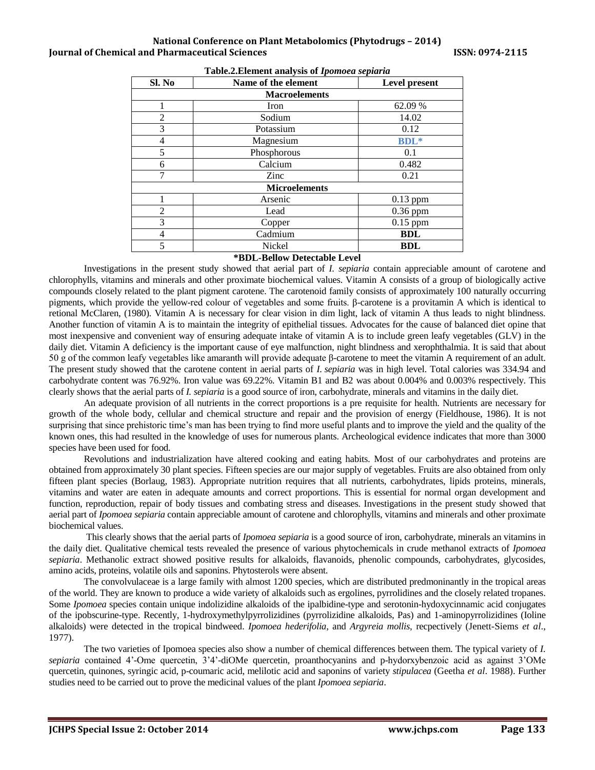## **National Conference on Plant Metabolomics (Phytodrugs – 2014) Iournal of Chemical and Pharmaceutical Sciences ISSN: 0974-2115**

| Sl. No               | Name of the element | Level present |
|----------------------|---------------------|---------------|
| <b>Macroelements</b> |                     |               |
|                      | Iron                | 62.09 %       |
| $\overline{2}$       | Sodium              | 14.02         |
| 3                    | Potassium           | 0.12          |
| 4                    | Magnesium           | <b>BDL</b> *  |
| 5                    | Phosphorous         | 0.1           |
| 6                    | Calcium             | 0.482         |
|                      | Zinc                | 0.21          |
| <b>Microelements</b> |                     |               |
|                      | Arsenic             | $0.13$ ppm    |
| 2                    | Lead                | $0.36$ ppm    |
| 3                    | Copper              | $0.15$ ppm    |
| 4                    | Cadmium             | <b>BDL</b>    |
| 5                    | Nickel              | <b>BDL</b>    |

#### **Table.2.Element analysis of** *Ipomoea sepiaria*

#### **\*BDL-Bellow Detectable Level**

Investigations in the present study showed that aerial part of *I. sepiaria* contain appreciable amount of carotene and chlorophylls, vitamins and minerals and other proximate biochemical values. Vitamin A consists of a group of biologically active compounds closely related to the plant pigment carotene. The carotenoid family consists of approximately 100 naturally occurring pigments, which provide the yellow-red colour of vegetables and some fruits. β-carotene is a provitamin A which is identical to retional McClaren, (1980). Vitamin A is necessary for clear vision in dim light, lack of vitamin A thus leads to night blindness. Another function of vitamin A is to maintain the integrity of epithelial tissues. Advocates for the cause of balanced diet opine that most inexpensive and convenient way of ensuring adequate intake of vitamin A is to include green leafy vegetables (GLV) in the daily diet. Vitamin A deficiency is the important cause of eye malfunction, night blindness and xerophthalmia. It is said that about 50 g of the common leafy vegetables like amaranth will provide adequate β-carotene to meet the vitamin A requirement of an adult. The present study showed that the carotene content in aerial parts of *I. sepiaria* was in high level. Total calories was 334.94 and carbohydrate content was 76.92%. Iron value was 69.22%. Vitamin B1 and B2 was about 0.004% and 0.003% respectively. This clearly shows that the aerial parts of *I. sepiaria* is a good source of iron, carbohydrate, minerals and vitamins in the daily diet.

An adequate provision of all nutrients in the correct proportions is a pre requisite for health. Nutrients are necessary for growth of the whole body, cellular and chemical structure and repair and the provision of energy (Fieldhouse, 1986). It is not surprising that since prehistoric time's man has been trying to find more useful plants and to improve the yield and the quality of the known ones, this had resulted in the knowledge of uses for numerous plants. Archeological evidence indicates that more than 3000 species have been used for food.

Revolutions and industrialization have altered cooking and eating habits. Most of our carbohydrates and proteins are obtained from approximately 30 plant species. Fifteen species are our major supply of vegetables. Fruits are also obtained from only fifteen plant species (Borlaug, 1983). Appropriate nutrition requires that all nutrients, carbohydrates, lipids proteins, minerals, vitamins and water are eaten in adequate amounts and correct proportions. This is essential for normal organ development and function, reproduction, repair of body tissues and combating stress and diseases. Investigations in the present study showed that aerial part of *Ipomoea sepiaria* contain appreciable amount of carotene and chlorophylls, vitamins and minerals and other proximate biochemical values.

This clearly shows that the aerial parts of *Ipomoea sepiaria* is a good source of iron, carbohydrate, minerals an vitamins in the daily diet. Qualitative chemical tests revealed the presence of various phytochemicals in crude methanol extracts of *Ipomoea sepiaria*. Methanolic extract showed positive results for alkaloids, flavanoids, phenolic compounds, carbohydrates, glycosides, amino acids, proteins, volatile oils and saponins. Phytosterols were absent.

The convolvulaceae is a large family with almost 1200 species, which are distributed predmoninantly in the tropical areas of the world. They are known to produce a wide variety of alkaloids such as ergolines, pyrrolidines and the closely related tropanes. Some *Ipomoea* species contain unique indolizidine alkaloids of the ipalbidine-type and serotonin-hydoxycinnamic acid conjugates of the ipobscurine-type. Recently, 1-hydroxymethylpyrrolizidines (pyrrolizidine alkaloids, Pas) and 1-aminopyrrolizidines (Ioline alkaloids) were detected in the tropical bindweed. *Ipomoea hederifolia*, and *Argyreia mollis*, recpectively (Jenett-Siems *et al*., 1977).

The two varieties of Ipomoea species also show a number of chemical differences between them. The typical variety of *I. sepiaria* contained 4'-Ome quercetin, 3'4'-diOMe quercetin, proanthocyanins and p-hydorxybenzoic acid as against 3'OMe quercetin, quinones, syringic acid, p-coumaric acid, melilotic acid and saponins of variety *stipulacea* (Geetha *et al*. 1988). Further studies need to be carried out to prove the medicinal values of the plant *Ipomoea sepiaria*.